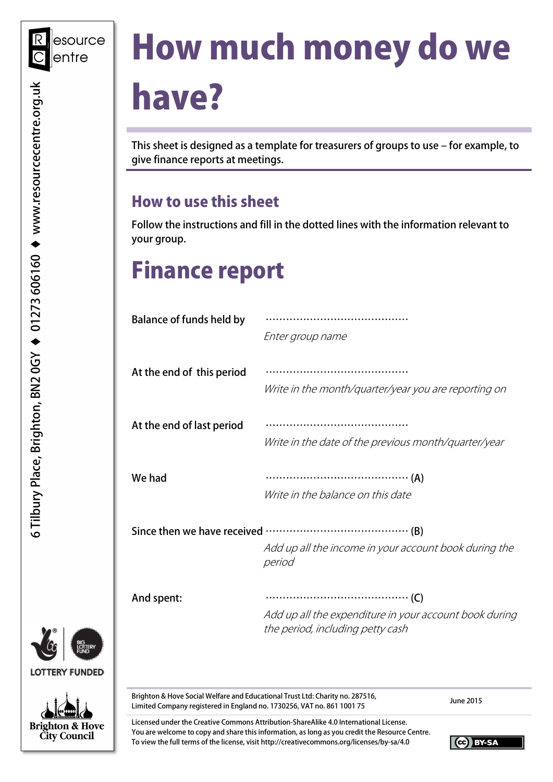# How much money do we have?

This sheet is designed as a template for treasurers of groups to use – for example, to give finance reports at meetings.

## How to use this sheet

Follow the instructions and fill in the dotted lines with the information relevant to your group.

## Finance report

| <b>Balance of funds held by</b> | Enter group name                                                                           |
|---------------------------------|--------------------------------------------------------------------------------------------|
| At the end of this period       | Write in the month/quarter/year you are reporting on                                       |
| At the end of last period       | Write in the date of the previous month/quarter/year                                       |
| We had                          | Write in the balance on this date                                                          |
|                                 | Add up all the income in your account book during the<br>period                            |
| And spent:                      | Add up all the expenditure in your account book during<br>the period, including petty cash |

Brighton & Hove Social Welfare and Educational Trust Ltd: Charity no. 287516, brighton & Hove Social wellare and Educational Trust Ltd: Charity no. 267516,<br>Limited Company registered in England no. 1730256, VAT no. 861 1001 75

Licensed under the Creative Commons Attribution-ShareAlike 4.0 International License. You are welcome to copy and share this information, as long as you credit the Resource Centre. To view the full terms of the license, visit http://creativecommons.org/licenses/by-sa/4.0



CC BY-SA

**LOTTERY FUNDED Brighton & Hove City Council**